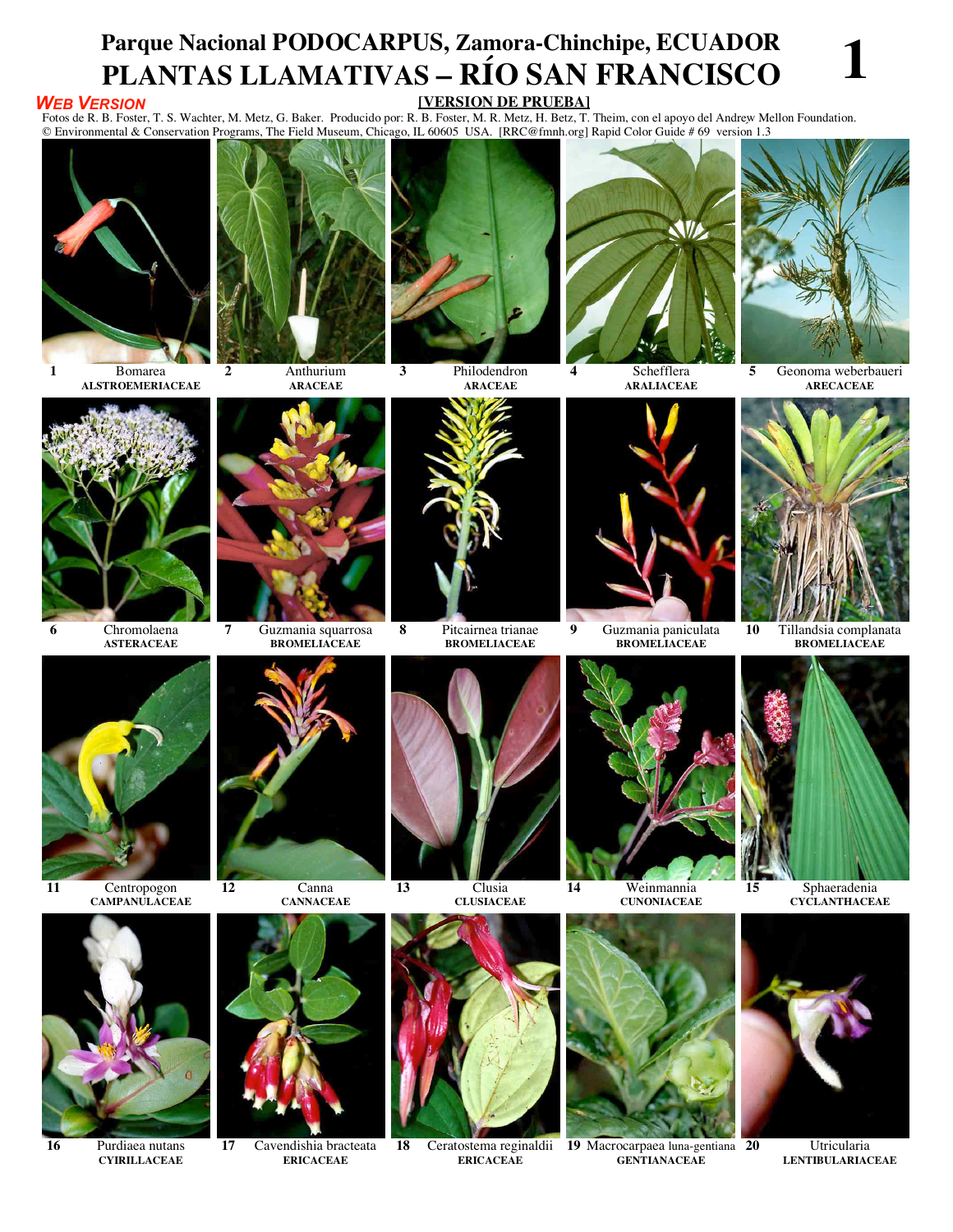## **Parque Nacional PODOCARPUS, Zamora-Chinchipe, ECUADOR PLANTAS LLAMATIVAS – RÍO SAN FRANCISCO 1 [VERSIÓN DE PRUEBA]**

## *WEB VERSION*

Fotos de R. B. Foster, T. S. Wachter, M. Metz, G. Baker. Producido por: R. B. Foster, M. R. Metz, H. Betz, T. Theim, con el apoyo del Andrew Mellon Foundation. © Environmental & Conservation Programs, The Field Museum, Chicago, IL 60605 USA. [RRC@fmnh.org] Rapid Color Guide # 69versión 1.3



**1** Bomarea **ALSTROEMERIACEAE**



**ARACEAE**



**3** Philodendron **ARACEAE**



**4** Schefflera **ARALIACEAE**



**5** Geonoma weberbaueri **ARECACEAE**



**ASTERACEAE**

**11** Centropogon

**CAMPANULACEAE**

**16** Purdiaea nutans **CYIRILLACEAE**





**12** Canna



**17** Cavendishia bracteata **ERICACEAE**



**8** Pitcairnea trianae **BROMELIACEAE**



**13** Clusia **CLUSIACEAE**



**18** Ceratostema reginaldii **ERICACEAE**



**9** Guzmania paniculata **BROMELIACEAE**



**10** Tillandsia complanata **BROMELIACEAE**



**15** Sphaeradenia **CYCLANTHACEAE**



**20** Utricularia **LENTIBULARIACEAE**



**GENTIANACEAE**